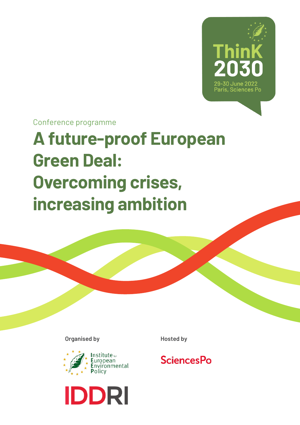

Conference programme

# **A future-proof European Green Deal: Overcoming crises, increasing ambition**

**Organised by Hosted by** 





## **SciencesPo**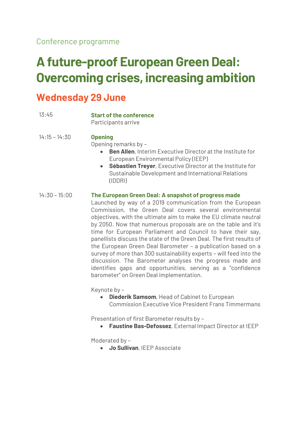## **A future-proof European Green Deal: Overcoming crises, increasing ambition**

## **Wednesday 29 June**

| 13:45           | <b>Start of the conference</b><br>Participants arrive                                                                                                                                                                                                                                                                                                                                                                                                                                                                                                                                                                                                                                                                                                                   |
|-----------------|-------------------------------------------------------------------------------------------------------------------------------------------------------------------------------------------------------------------------------------------------------------------------------------------------------------------------------------------------------------------------------------------------------------------------------------------------------------------------------------------------------------------------------------------------------------------------------------------------------------------------------------------------------------------------------------------------------------------------------------------------------------------------|
| $14:15 - 14:30$ | <b>Opening</b><br>Opening remarks by -<br><b>Ben Allen, Interim Executive Director at the Institute for</b><br>European Environmental Policy (IEEP)<br>Sébastien Treyer, Executive Director at the Institute for<br>$\bullet$<br>Sustainable Development and International Relations<br>(IDDRI)                                                                                                                                                                                                                                                                                                                                                                                                                                                                         |
| $14:30 - 15:00$ | The European Green Deal: A snapshot of progress made<br>Launched by way of a 2019 communication from the European<br>Commission, the Green Deal covers several environmental<br>objectives, with the ultimate aim to make the EU climate neutral<br>by 2050. Now that numerous proposals are on the table and it's<br>time for European Parliament and Council to have their say,<br>panellists discuss the state of the Green Deal. The first results of<br>the European Green Deal Barometer - a publication based on a<br>survey of more than 300 sustainability experts - will feed into the<br>discussion. The Barometer analyses the progress made and<br>identifies gaps and opportunities, serving as a "confidence<br>barometer" on Green Deal implementation. |

Keynote by –

• **Diederik Samsom**, Head of Cabinet to European Commission Executive Vice President Frans Timmermans

Presentation of first Barometer results by –

• **Faustine Bas-Defossez**, External Impact Director at IEEP

Moderated by –

• **Jo Sullivan**, IEEP Associate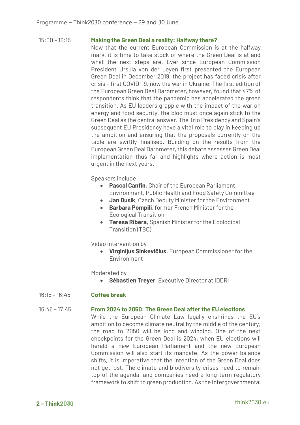#### 15:00 – 16:15 **Making the Green Deal a reality: Halfway there?**

Now that the current European Commission is at the halfway mark, it is time to take stock of where the Green Deal is at and what the next steps are. Ever since European Commission President Ursula von der Leyen first presented the European Green Deal in December 2019, the project has faced crisis after crisis – first COVID-19, now the war in Ukraine. The first edition of the European Green Deal Barometer, however, found that 47% of respondents think that the pandemic has accelerated the green transition. As EU leaders grapple with the impact of the war on energy and food security, the bloc must once again stick to the Green Deal as the central answer. The Trio Presidency and Spain's subsequent EU Presidency have a vital role to play in keeping up the ambition and ensuring that the proposals currently on the table are swiftly finalised. Building on the results from the European Green Deal Barometer, this debate assesses Green Deal implementation thus far and highlights where action is most urgent in the next years.

Speakers include

- **Pascal Canfin**, Chair of the European Parliament Environment, Public Health and Food Safety Committee
- **Jan Dusík**, Czech Deputy Minister for the Environment
- **Barbara Pompili**, former French Minister for the Ecological Transition
- **Teresa Ribera**, Spanish Minister for the Ecological Transition (TBC)

Video intervention by

• **Virginijus Sinkevičius**, European Commissioner for the Environment

Moderated by

• **Sébastien Treyer**, Executive Director at IDDRI

#### 16:15 – 16:45 **Coffee break**

#### 16:45 – 17:45 **From 2024 to 2050: The Green Deal after the EU elections**

While the European Climate Law legally enshrines the EU's ambition to become climate neutral by the middle of the century, the road to 2050 will be long and winding. One of the next checkpoints for the Green Deal is 2024, when EU elections will herald a new European Parliament and the new European Commission will also start its mandate. As the power balance shifts, it is imperative that the intention of the Green Deal does not get lost. The climate and biodiversity crises need to remain top of the agenda, and companies need a long-term regulatory framework to shift to green production. As the Intergovernmental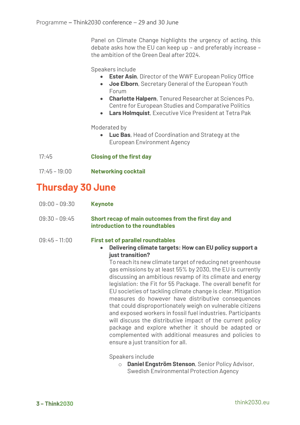Panel on Climate Change highlights the urgency of acting, this debate asks how the EU can keep up – and preferably increase – the ambition of the Green Deal after 2024.

Speakers include

- **Ester Asin**, Director of the WWF European Policy Office
- **Joe Elborn**, Secretary General of the European Youth Forum
- **Charlotte Halpern**, Tenured Researcher at Sciences Po, Centre for European Studies and Comparative Politics
- **Lars Holmquist**, Executive Vice President at Tetra Pak

Moderated by

- **Luc Bas**, Head of Coordination and Strategy at the European Environment Agency
- 17:45 **Closing of the first day**
- 17:45 19:00 **Networking cocktail**

## **Thursday 30 June**

| $09:00 - 09:30$ | <b>Keynote</b> |
|-----------------|----------------|
|-----------------|----------------|

#### 09:30 – 09:45 **Short recap of main outcomes from the first day and introduction to the roundtables**

#### 09:45 – 11:00 **First set of parallel roundtables**

• **Delivering climate targets: How can EU policy support a just transition?**

To reach its new climate target of reducing net greenhouse gas emissions by at least 55% by 2030, the EU is currently discussing an ambitious revamp of its climate and energy legislation: the Fit for 55 Package. The overall benefit for EU societies of tackling climate change is clear. Mitigation measures do however have distributive consequences that could disproportionately weigh on vulnerable citizens and exposed workers in fossil fuel industries. Participants will discuss the distributive impact of the current policy package and explore whether it should be adapted or complemented with additional measures and policies to ensure a just transition for all.

Speakers include

o **Daniel Engström Stenson**, Senior Policy Advisor, Swedish Environmental Protection Agency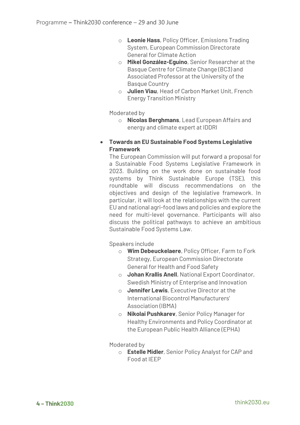- o **Leonie Hass**, Policy Officer, Emissions Trading System, European Commission Directorate General for Climate Action
- o **Mikel González-Eguino**, Senior Researcher at the Basque Centre for Climate Change (BC3) and Associated Professor at the University of the Basque Country
- o **Julien Viau**, Head of Carbon Market Unit, French Energy Transition Ministry

Moderated by

- o **Nicolas Berghmans**, Lead European Affairs and energy and climate expert at IDDRI
- **Towards an EU Sustainable Food Systems Legislative Framework**

The European Commission will put forward a proposal for a Sustainable Food Systems Legislative Framework in 2023. Building on the work done on sustainable food systems by Think Sustainable Europe (TSE), this roundtable will discuss recommendations on the objectives and design of the legislative framework. In particular, it will look at the relationships with the current EU and national agri-food laws and policies and explore the need for multi-level governance. Participants will also discuss the political pathways to achieve an ambitious Sustainable Food Systems Law.

Speakers include

- o **Wim Debeuckelaere**, Policy Officer, Farm to Fork Strategy, European Commission Directorate General for Health and Food Safety
- o **Johan Krallis Anell**, National Export Coordinator, Swedish Ministry of Enterprise and Innovation
- o **Jennifer Lewis**, Executive Director at the International Biocontrol Manufacturers' Association (IBMA)
- o **Nikolai Pushkarev**, Senior Policy Manager for Healthy Environments and Policy Coordinator at the European Public Health Alliance (EPHA)

Moderated by

o **Estelle Midler**, Senior Policy Analyst for CAP and Food at IEEP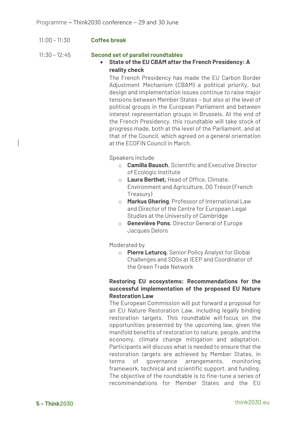11:00 – 11:30 **Coffee break**

#### 11:30 – 12:45 **Second set of parallel roundtables**

• **State of the EU CBAM after the French Presidency: A reality check** 

The French Presidency has made the EU Carbon Border Adjustment Mechanism (CBAM) a political priority, but design and implementation issues continue to raise major tensions between Member States – but also at the level of political groups in the European Parliament and between interest representation groups in Brussels. At the end of the French Presidency, this roundtable will take stock of progress made, both at the level of the Parliament, and at that of the Council, which agreed on a general orientation at the ECOFIN Council in March.

Speakers include

- o **Camilla Bausch**, Scientific and Executive Director of Ecologic Institute
- o **Laura Berthet,** Head of Office, Climate, Environment and Agriculture, DG Trésor (French Treasury)
- o **Markus Ghering**, Professor of International Law and Director of the Centre for European Legal Studies at the University of Cambridge
- o **Geneviève Pons**, Director General of Europe Jacques Delors

Moderated by

o **Pierre Leturcq**, Senior Policy Analyst for Global Challenges and SDGs at IEEP and Coordinator of the Green Trade Network

#### **Restoring EU ecosystems: Recommendations for the successful implementation of the proposed EU Nature Restoration Law**

The European Commission will put forward a proposal for an EU Nature Restoration Law, including legally binding restoration targets. This roundtable will focus on the opportunities presented by the upcoming law, given the manifold benefits of restoration to nature, people, and the economy, climate change mitigation and adaptation. Participants will discuss what is needed to ensure that the restoration targets are achieved by Member States, in terms of governance arrangements, monitoring framework, technical and scientific support, and funding. The objective of the roundtable is to fine-tune a series of recommendations for Member States and the EU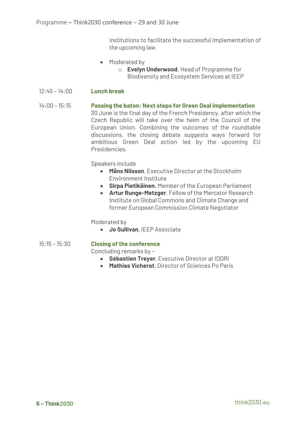institutions to facilitate the successful implementation of the upcoming law.

- Moderated by
	- o **Evelyn Underwood**, Head of Programme for Biodiversity and Ecosystem Services at IEEP
- 12:45 14:00 **Lunch break**
- 14:00 15:15 **Passing the baton: Next steps for Green Deal implementation** 30 June is the final day of the French Presidency, after which the Czech Republic will take over the helm of the Council of the European Union. Combining the outcomes of the roundtable discussions, the closing debate suggests ways forward for ambitious Green Deal action led by the upcoming EU Presidencies.

Speakers include

- **Måns Nilsson**, Executive Director at the Stockholm Environment Institute
- **Sirpa Pietikäinen**, Member of the European Parliament
- **Artur Runge-Metzger**, Fellow of the Mercator Research Institute on Global Commons and Climate Change and former European Commission Climate Negotiator

Moderated by

• **Jo Sullivan**, IEEP Associate

#### 15:15 – 15:30 **Closing of the conference**

Concluding remarks by –

- **Sébastien Treyer**, Executive Director at IDDRI
- **Mathias Vicherat**, Director of Sciences Po Paris